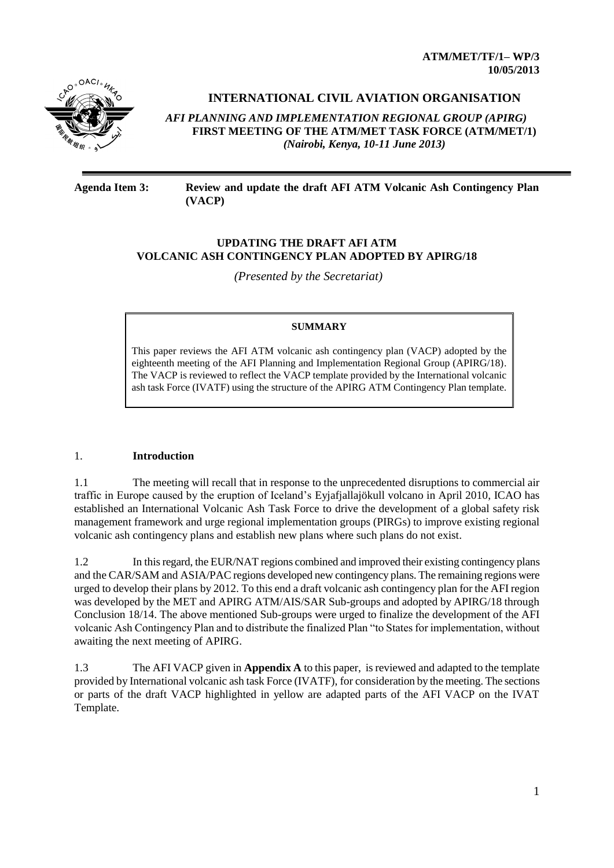**ATM/MET/TF/1– WP/3 10/05/2013**



**INTERNATIONAL CIVIL AVIATION ORGANISATION** 

*AFI PLANNING AND IMPLEMENTATION REGIONAL GROUP (APIRG)* **FIRST MEETING OF THE ATM/MET TASK FORCE (ATM/MET/1)**  *(Nairobi, Kenya, 10-11 June 2013)*

#### **Agenda Item 3: Review and update the draft AFI ATM Volcanic Ash Contingency Plan (VACP)**

## **UPDATING THE DRAFT AFI ATM VOLCANIC ASH CONTINGENCY PLAN ADOPTED BY APIRG/18**

*(Presented by the Secretariat)*

#### **SUMMARY**

This paper reviews the AFI ATM volcanic ash contingency plan (VACP) adopted by the eighteenth meeting of the AFI Planning and Implementation Regional Group (APIRG/18). The VACP is reviewed to reflect the VACP template provided by the International volcanic ash task Force (IVATF) using the structure of the APIRG ATM Contingency Plan template.

## 1. **Introduction**

1.1 The meeting will recall that in response to the unprecedented disruptions to commercial air traffic in Europe caused by the eruption of Iceland's Eyjafjallajökull volcano in April 2010, ICAO has established an International Volcanic Ash Task Force to drive the development of a global safety risk management framework and urge regional implementation groups (PIRGs) to improve existing regional volcanic ash contingency plans and establish new plans where such plans do not exist.

1.2 In this regard, the EUR/NAT regions combined and improved their existing contingency plans and the CAR/SAM and ASIA/PAC regions developed new contingency plans. The remaining regions were urged to develop their plans by 2012. To this end a draft volcanic ash contingency plan for the AFI region was developed by the MET and APIRG ATM/AIS/SAR Sub-groups and adopted by APIRG/18 through Conclusion 18/14. The above mentioned Sub-groups were urged to finalize the development of the AFI volcanic Ash Contingency Plan and to distribute the finalized Plan "to States for implementation, without awaiting the next meeting of APIRG.

1.3 The AFI VACP given in **Appendix A** to this paper, is reviewed and adapted to the template provided by International volcanic ash task Force (IVATF), for consideration by the meeting. The sections or parts of the draft VACP highlighted in yellow are adapted parts of the AFI VACP on the IVAT Template.